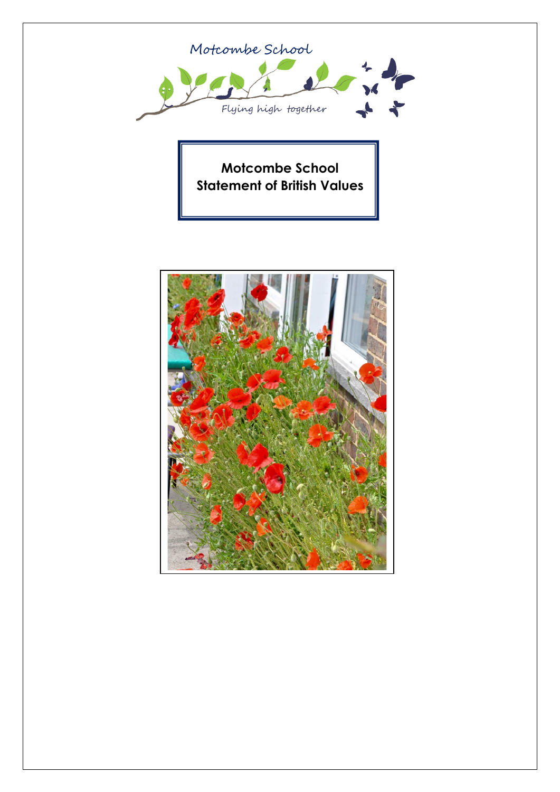

**Motcombe School Statement of British Values**

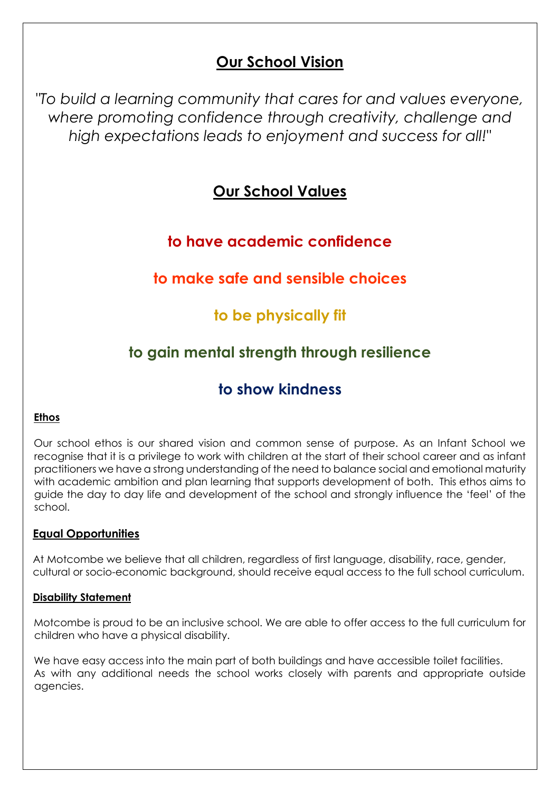# **Our School Vision**

*"To build a learning community that cares for and values everyone, where promoting confidence through creativity, challenge and high expectations leads to enjoyment and success for all!"*

## **Our School Values**

## **to have academic confidence**

# **to make safe and sensible choices**

## **to be physically fit**

# **to gain mental strength through resilience**

# **to show kindness**

### **Ethos**

Our school ethos is our shared vision and common sense of purpose. As an Infant School we recognise that it is a privilege to work with children at the start of their school career and as infant practitioners we have a strong understanding of the need to balance social and emotional maturity with academic ambition and plan learning that supports development of both. This ethos aims to guide the day to day life and development of the school and strongly influence the 'feel' of the school.

## **Equal Opportunities**

At Motcombe we believe that all children, regardless of first language, disability, race, gender, cultural or socio-economic background, should receive equal access to the full school curriculum.

## **Disability Statement**

Motcombe is proud to be an inclusive school. We are able to offer access to the full curriculum for children who have a physical disability.

We have easy access into the main part of both buildings and have accessible toilet facilities. As with any additional needs the school works closely with parents and appropriate outside agencies.